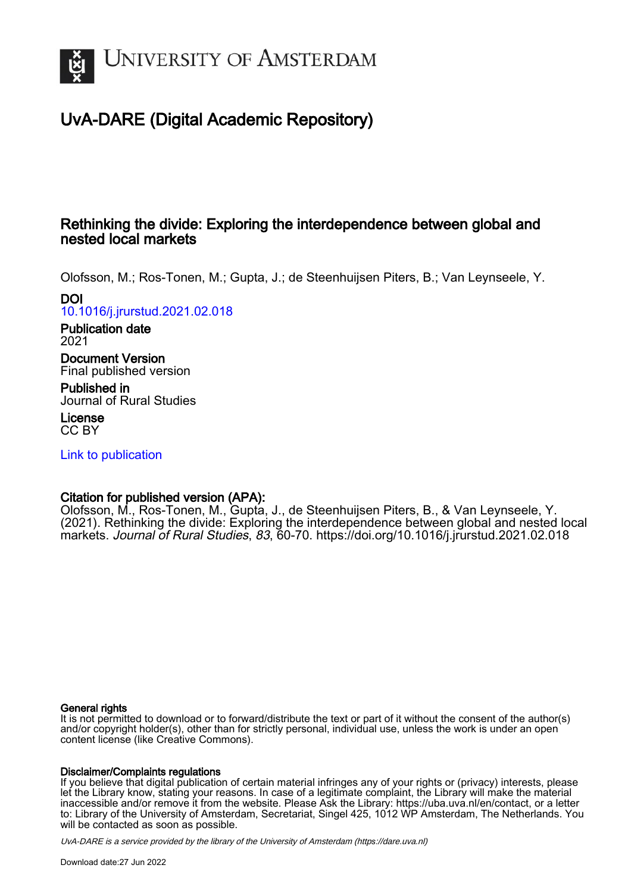

# UvA-DARE (Digital Academic Repository)

## Rethinking the divide: Exploring the interdependence between global and nested local markets

Olofsson, M.; Ros-Tonen, M.; Gupta, J.; de Steenhuijsen Piters, B.; Van Leynseele, Y. DOI

[10.1016/j.jrurstud.2021.02.018](https://doi.org/10.1016/j.jrurstud.2021.02.018)

Publication date 2021

Document Version Final published version

Published in Journal of Rural Studies

License CC BY

[Link to publication](https://dare.uva.nl/personal/pure/en/publications/rethinking-the-divide-exploring-the-interdependence-between-global-and-nested-local-markets(606eace8-eff8-4d27-a59d-dce04a07827f).html)

### Citation for published version (APA):

Olofsson, M., Ros-Tonen, M., Gupta, J., de Steenhuijsen Piters, B., & Van Leynseele, Y. (2021). Rethinking the divide: Exploring the interdependence between global and nested local markets. Journal of Rural Studies, 83, 60-70.<https://doi.org/10.1016/j.jrurstud.2021.02.018>

### General rights

It is not permitted to download or to forward/distribute the text or part of it without the consent of the author(s) and/or copyright holder(s), other than for strictly personal, individual use, unless the work is under an open content license (like Creative Commons).

### Disclaimer/Complaints regulations

If you believe that digital publication of certain material infringes any of your rights or (privacy) interests, please let the Library know, stating your reasons. In case of a legitimate complaint, the Library will make the material inaccessible and/or remove it from the website. Please Ask the Library: https://uba.uva.nl/en/contact, or a letter to: Library of the University of Amsterdam, Secretariat, Singel 425, 1012 WP Amsterdam, The Netherlands. You will be contacted as soon as possible.

UvA-DARE is a service provided by the library of the University of Amsterdam (http*s*://dare.uva.nl)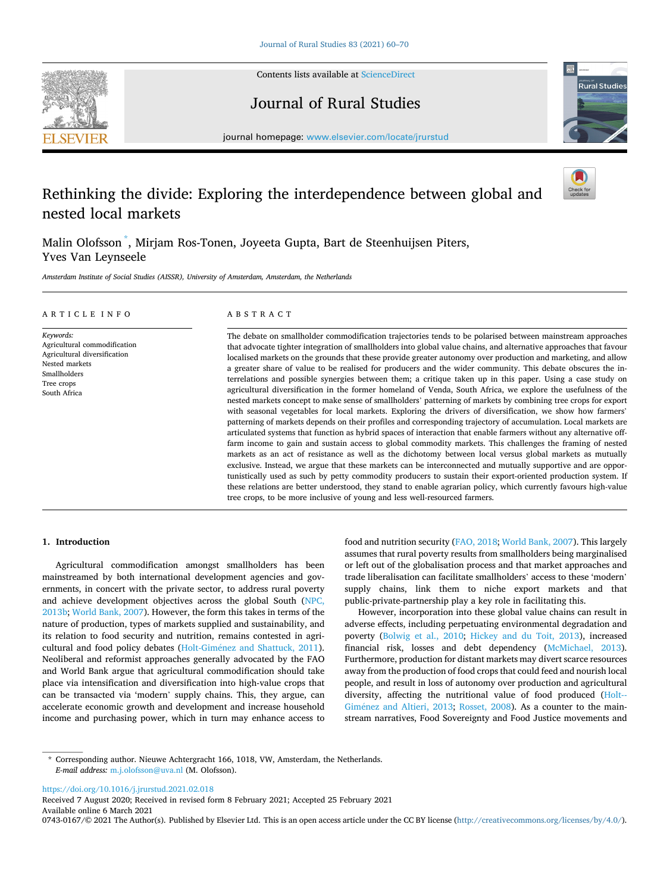

Contents lists available at [ScienceDirect](www.sciencedirect.com/science/journal/07430167)

Journal of Rural Studies



journal homepage: [www.elsevier.com/locate/jrurstud](https://www.elsevier.com/locate/jrurstud)

## Rethinking the divide: Exploring the interdependence between global and nested local markets

Malin Olofsson \* , Mirjam Ros-Tonen, Joyeeta Gupta, Bart de Steenhuijsen Piters, Yves Van Leynseele

*Amsterdam Institute of Social Studies (AISSR), University of Amsterdam, Amsterdam, the Netherlands* 

| ARTICLE INFO                                                                                                                              | ABSTRACT                                                                                                                                                                                                                                                                                                                                                                                                                                                                                                                                                                                                                                                                                                                                                                                                                                                                                                                                                                                                                                                                                                                                                                                                                                                                                                                                                                                                                                                                                                                                                                                                                                                                                                                                                                                                                           |
|-------------------------------------------------------------------------------------------------------------------------------------------|------------------------------------------------------------------------------------------------------------------------------------------------------------------------------------------------------------------------------------------------------------------------------------------------------------------------------------------------------------------------------------------------------------------------------------------------------------------------------------------------------------------------------------------------------------------------------------------------------------------------------------------------------------------------------------------------------------------------------------------------------------------------------------------------------------------------------------------------------------------------------------------------------------------------------------------------------------------------------------------------------------------------------------------------------------------------------------------------------------------------------------------------------------------------------------------------------------------------------------------------------------------------------------------------------------------------------------------------------------------------------------------------------------------------------------------------------------------------------------------------------------------------------------------------------------------------------------------------------------------------------------------------------------------------------------------------------------------------------------------------------------------------------------------------------------------------------------|
| Keywords:<br>Agricultural commodification<br>Agricultural diversification<br>Nested markets<br>Smallholders<br>Tree crops<br>South Africa | The debate on smallholder commodification trajectories tends to be polarised between mainstream approaches<br>that advocate tighter integration of smallholders into global value chains, and alternative approaches that favour<br>localised markets on the grounds that these provide greater autonomy over production and marketing, and allow<br>a greater share of value to be realised for producers and the wider community. This debate obscures the in-<br>terrelations and possible synergies between them; a critique taken up in this paper. Using a case study on<br>agricultural diversification in the former homeland of Venda, South Africa, we explore the usefulness of the<br>nested markets concept to make sense of smallholders' patterning of markets by combining tree crops for export<br>with seasonal vegetables for local markets. Exploring the drivers of diversification, we show how farmers'<br>patterning of markets depends on their profiles and corresponding trajectory of accumulation. Local markets are<br>articulated systems that function as hybrid spaces of interaction that enable farmers without any alternative off-<br>farm income to gain and sustain access to global commodity markets. This challenges the framing of nested<br>markets as an act of resistance as well as the dichotomy between local versus global markets as mutually<br>exclusive. Instead, we argue that these markets can be interconnected and mutually supportive and are oppor-<br>tunistically used as such by petty commodity producers to sustain their export-oriented production system. If<br>these relations are better understood, they stand to enable agrarian policy, which currently favours high-value<br>tree crops, to be more inclusive of young and less well-resourced farmers. |

#### **1. Introduction**

Agricultural commodification amongst smallholders has been mainstreamed by both international development agencies and governments, in concert with the private sector, to address rural poverty and achieve development objectives across the global South [\(NPC,](#page-11-0)  [2013b; World Bank, 2007\)](#page-11-0). However, the form this takes in terms of the nature of production, types of markets supplied and sustainability, and its relation to food security and nutrition, remains contested in agricultural and food policy debates (Holt-Giménez and Shattuck, 2011). Neoliberal and reformist approaches generally advocated by the FAO and World Bank argue that agricultural commodification should take place via intensification and diversification into high-value crops that can be transacted via 'modern' supply chains. This, they argue, can accelerate economic growth and development and increase household income and purchasing power, which in turn may enhance access to food and nutrition security ([FAO, 2018](#page-10-0); [World Bank, 2007\)](#page-11-0). This largely assumes that rural poverty results from smallholders being marginalised or left out of the globalisation process and that market approaches and trade liberalisation can facilitate smallholders' access to these 'modern' supply chains, link them to niche export markets and that public-private-partnership play a key role in facilitating this.

However, incorporation into these global value chains can result in adverse effects, including perpetuating environmental degradation and poverty [\(Bolwig et al., 2010](#page-10-0); [Hickey and du Toit, 2013](#page-10-0)), increased financial risk, losses and debt dependency ([McMichael, 2013](#page-11-0)). Furthermore, production for distant markets may divert scarce resources away from the production of food crops that could feed and nourish local people, and result in loss of autonomy over production and agricultural diversity, affecting the nutritional value of food produced [\(Holt--](#page-10-0)Giménez and Altieri, 2013; [Rosset, 2008](#page-11-0)). As a counter to the mainstream narratives, Food Sovereignty and Food Justice movements and

<https://doi.org/10.1016/j.jrurstud.2021.02.018>

Available online 6 March 2021 0743-0167/© 2021 The Author(s). Published by Elsevier Ltd. This is an open access article under the CC BY license [\(http://creativecommons.org/licenses/by/4.0/\)](http://creativecommons.org/licenses/by/4.0/). Received 7 August 2020; Received in revised form 8 February 2021; Accepted 25 February 2021

<sup>\*</sup> Corresponding author. Nieuwe Achtergracht 166, 1018, VW, Amsterdam, the Netherlands. *E-mail address:* [m.j.olofsson@uva.nl](mailto:m.j.olofsson@uva.nl) (M. Olofsson).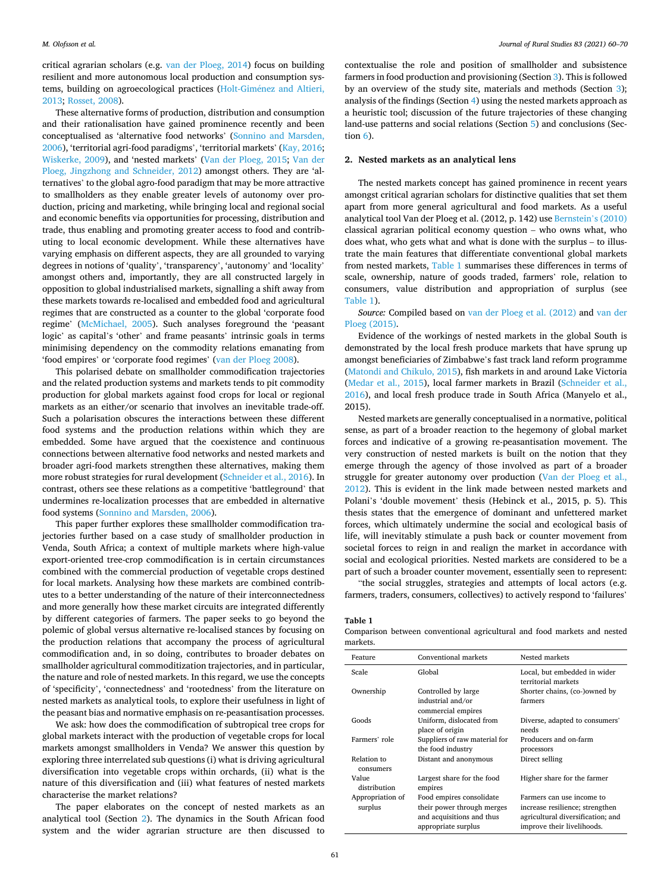#### *M. Olofsson et al.*

critical agrarian scholars (e.g. [van der Ploeg, 2014](#page-11-0)) focus on building resilient and more autonomous local production and consumption systems, building on agroecological practices (Holt-Giménez and Altieri, [2013;](#page-10-0) [Rosset, 2008](#page-11-0)).

These alternative forms of production, distribution and consumption and their rationalisation have gained prominence recently and been conceptualised as 'alternative food networks' ([Sonnino and Marsden,](#page-11-0)  [2006\)](#page-11-0), 'territorial agri-food paradigms', 'territorial markets' [\(Kay, 2016](#page-10-0); [Wiskerke, 2009](#page-11-0)), and 'nested markets' [\(Van der Ploeg, 2015](#page-11-0); [Van der](#page-11-0)  [Ploeg, Jingzhong and Schneider, 2012](#page-11-0)) amongst others. They are 'alternatives' to the global agro-food paradigm that may be more attractive to smallholders as they enable greater levels of autonomy over production, pricing and marketing, while bringing local and regional social and economic benefits via opportunities for processing, distribution and trade, thus enabling and promoting greater access to food and contributing to local economic development. While these alternatives have varying emphasis on different aspects, they are all grounded to varying degrees in notions of 'quality', 'transparency', 'autonomy' and 'locality' amongst others and, importantly, they are all constructed largely in opposition to global industrialised markets, signalling a shift away from these markets towards re-localised and embedded food and agricultural regimes that are constructed as a counter to the global 'corporate food regime' [\(McMichael, 2005](#page-11-0)). Such analyses foreground the 'peasant logic' as capital's 'other' and frame peasants' intrinsic goals in terms minimising dependency on the commodity relations emanating from 'food empires' or 'corporate food regimes' [\(van der Ploeg 2008\)](#page-11-0).

This polarised debate on smallholder commodification trajectories and the related production systems and markets tends to pit commodity production for global markets against food crops for local or regional markets as an either/or scenario that involves an inevitable trade-off. Such a polarisation obscures the interactions between these different food systems and the production relations within which they are embedded. Some have argued that the coexistence and continuous connections between alternative food networks and nested markets and broader agri-food markets strengthen these alternatives, making them more robust strategies for rural development ([Schneider et al., 2016](#page-11-0)). In contrast, others see these relations as a competitive 'battleground' that undermines re-localization processes that are embedded in alternative food systems [\(Sonnino and Marsden, 2006\)](#page-11-0).

This paper further explores these smallholder commodification trajectories further based on a case study of smallholder production in Venda, South Africa; a context of multiple markets where high-value export-oriented tree-crop commodification is in certain circumstances combined with the commercial production of vegetable crops destined for local markets. Analysing how these markets are combined contributes to a better understanding of the nature of their interconnectedness and more generally how these market circuits are integrated differently by different categories of farmers. The paper seeks to go beyond the polemic of global versus alternative re-localised stances by focusing on the production relations that accompany the process of agricultural commodification and, in so doing, contributes to broader debates on smallholder agricultural commoditization trajectories, and in particular, the nature and role of nested markets. In this regard, we use the concepts of 'specificity', 'connectedness' and 'rootedness' from the literature on nested markets as analytical tools, to explore their usefulness in light of the peasant bias and normative emphasis on re-peasantisation processes.

We ask: how does the commodification of subtropical tree crops for global markets interact with the production of vegetable crops for local markets amongst smallholders in Venda? We answer this question by exploring three interrelated sub questions (i) what is driving agricultural diversification into vegetable crops within orchards, (ii) what is the nature of this diversification and (iii) what features of nested markets characterise the market relations?

The paper elaborates on the concept of nested markets as an analytical tool (Section 2). The dynamics in the South African food system and the wider agrarian structure are then discussed to

contextualise the role and position of smallholder and subsistence farmers in food production and provisioning (Section [3](#page-3-0)). This is followed by an overview of the study site, materials and methods (Section [3](#page-3-0)); analysis of the findings (Section [4](#page-4-0)) using the nested markets approach as a heuristic tool; discussion of the future trajectories of these changing land-use patterns and social relations (Section [5](#page-4-0)) and conclusions (Section [6](#page-8-0)).

#### **2. Nested markets as an analytical lens**

The nested markets concept has gained prominence in recent years amongst critical agrarian scholars for distinctive qualities that set them apart from more general agricultural and food markets. As a useful analytical tool Van der Ploeg et al. (2012, p. 142) use [Bernstein](#page-10-0)'s (2010) classical agrarian political economy question – who owns what, who does what, who gets what and what is done with the surplus – to illustrate the main features that differentiate conventional global markets from nested markets, Table 1 summarises these differences in terms of scale, ownership, nature of goods traded, farmers' role, relation to consumers, value distribution and appropriation of surplus (see Table 1).

*Source:* Compiled based on [van der Ploeg et al. \(2012\)](#page-11-0) and [van der](#page-11-0)  [Ploeg \(2015\)](#page-11-0).

Evidence of the workings of nested markets in the global South is demonstrated by the local fresh produce markets that have sprung up amongst beneficiaries of Zimbabwe's fast track land reform programme ([Matondi and Chikulo, 2015\)](#page-11-0), fish markets in and around Lake Victoria ([Medar et al., 2015\)](#page-11-0), local farmer markets in Brazil [\(Schneider et al.,](#page-11-0)  [2016\)](#page-11-0), and local fresh produce trade in South Africa (Manyelo et al., 2015).

Nested markets are generally conceptualised in a normative, political sense, as part of a broader reaction to the hegemony of global market forces and indicative of a growing re-peasantisation movement. The very construction of nested markets is built on the notion that they emerge through the agency of those involved as part of a broader struggle for greater autonomy over production [\(Van der Ploeg et al.,](#page-11-0)  [2012\)](#page-11-0). This is evident in the link made between nested markets and Polani's 'double movement' thesis (Hebinck et al., 2015, p. 5). This thesis states that the emergence of dominant and unfettered market forces, which ultimately undermine the social and ecological basis of life, will inevitably stimulate a push back or counter movement from societal forces to reign in and realign the market in accordance with social and ecological priorities. Nested markets are considered to be a part of such a broader counter movement, essentially seen to represent:

"the social struggles, strategies and attempts of local actors (e.g. farmers, traders, consumers, collectives) to actively respond to 'failures'

**Table 1** 

Comparison between conventional agricultural and food markets and nested markets.

| Feature                     | Conventional markets                                                                                       | Nested markets                                                                                                                  |
|-----------------------------|------------------------------------------------------------------------------------------------------------|---------------------------------------------------------------------------------------------------------------------------------|
| Scale                       | Global                                                                                                     | Local, but embedded in wider<br>territorial markets                                                                             |
| Ownership                   | Controlled by large<br>industrial and/or<br>commercial empires                                             | Shorter chains, (co-)owned by<br>farmers                                                                                        |
| Goods                       | Uniform, dislocated from<br>place of origin                                                                | Diverse, adapted to consumers'<br>needs                                                                                         |
| Farmers' role               | Suppliers of raw material for<br>the food industry                                                         | Producers and on-farm<br>processors                                                                                             |
| Relation to<br>consumers    | Distant and anonymous                                                                                      | Direct selling                                                                                                                  |
| Value<br>distribution       | Largest share for the food<br>empires                                                                      | Higher share for the farmer                                                                                                     |
| Appropriation of<br>surplus | Food empires consolidate<br>their power through merges<br>and acquisitions and thus<br>appropriate surplus | Farmers can use income to<br>increase resilience; strengthen<br>agricultural diversification; and<br>improve their livelihoods. |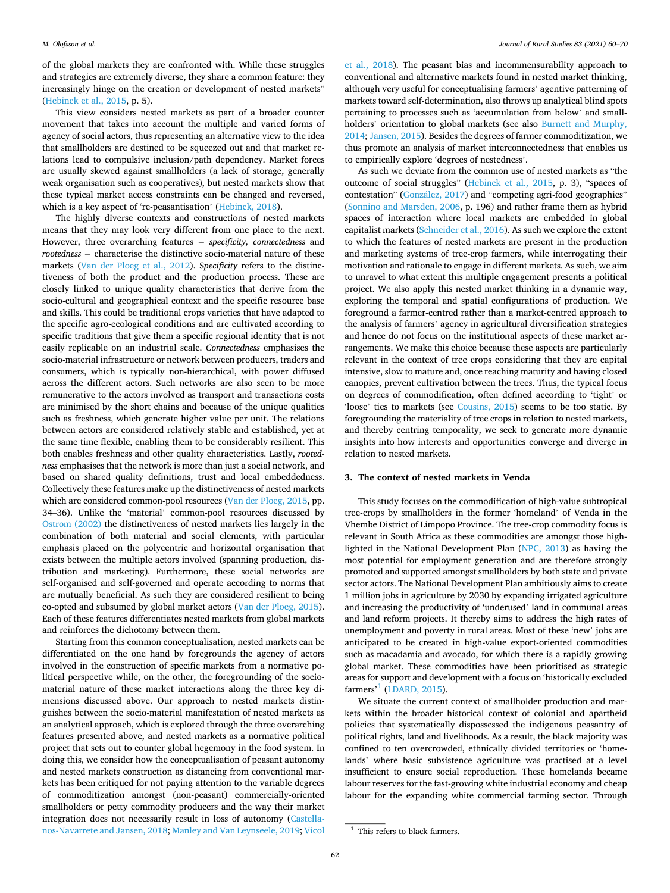<span id="page-3-0"></span>of the global markets they are confronted with. While these struggles and strategies are extremely diverse, they share a common feature: they increasingly hinge on the creation or development of nested markets" ([Hebinck et al., 2015](#page-10-0), p. 5).

This view considers nested markets as part of a broader counter movement that takes into account the multiple and varied forms of agency of social actors, thus representing an alternative view to the idea that smallholders are destined to be squeezed out and that market relations lead to compulsive inclusion/path dependency. Market forces are usually skewed against smallholders (a lack of storage, generally weak organisation such as cooperatives), but nested markets show that these typical market access constraints can be changed and reversed, which is a key aspect of 're-peasantisation' ([Hebinck, 2018](#page-10-0)).

The highly diverse contexts and constructions of nested markets means that they may look very different from one place to the next. However, three overarching features − *specificity, connectedness* and *rootedness* − characterise the distinctive socio-material nature of these markets ([Van der Ploeg et al., 2012\)](#page-11-0). S*pecificity* refers to the distinctiveness of both the product and the production process. These are closely linked to unique quality characteristics that derive from the socio-cultural and geographical context and the specific resource base and skills. This could be traditional crops varieties that have adapted to the specific agro-ecological conditions and are cultivated according to specific traditions that give them a specific regional identity that is not easily replicable on an industrial scale. *Connectedness* emphasises the socio-material infrastructure or network between producers, traders and consumers, which is typically non-hierarchical, with power diffused across the different actors. Such networks are also seen to be more remunerative to the actors involved as transport and transactions costs are minimised by the short chains and because of the unique qualities such as freshness, which generate higher value per unit. The relations between actors are considered relatively stable and established, yet at the same time flexible, enabling them to be considerably resilient. This both enables freshness and other quality characteristics. Lastly, *rootedness* emphasises that the network is more than just a social network, and based on shared quality definitions, trust and local embeddedness. Collectively these features make up the distinctiveness of nested markets which are considered common-pool resources ([Van der Ploeg, 2015](#page-11-0), pp. 34–36). Unlike the 'material' common-pool resources discussed by [Ostrom \(2002\)](#page-11-0) the distinctiveness of nested markets lies largely in the combination of both material and social elements, with particular emphasis placed on the polycentric and horizontal organisation that exists between the multiple actors involved (spanning production, distribution and marketing). Furthermore, these social networks are self-organised and self-governed and operate according to norms that are mutually beneficial. As such they are considered resilient to being co-opted and subsumed by global market actors ([Van der Ploeg, 2015](#page-11-0)). Each of these features differentiates nested markets from global markets and reinforces the dichotomy between them.

Starting from this common conceptualisation, nested markets can be differentiated on the one hand by foregrounds the agency of actors involved in the construction of specific markets from a normative political perspective while, on the other, the foregrounding of the sociomaterial nature of these market interactions along the three key dimensions discussed above. Our approach to nested markets distinguishes between the socio-material manifestation of nested markets as an analytical approach, which is explored through the three overarching features presented above, and nested markets as a normative political project that sets out to counter global hegemony in the food system. In doing this, we consider how the conceptualisation of peasant autonomy and nested markets construction as distancing from conventional markets has been critiqued for not paying attention to the variable degrees of commoditization amongst (non-peasant) commercially-oriented smallholders or petty commodity producers and the way their market integration does not necessarily result in loss of autonomy ([Castella](#page-10-0)[nos-Navarrete and Jansen, 2018](#page-10-0); [Manley and Van Leynseele, 2019;](#page-10-0) [Vicol](#page-11-0) 

[et al., 2018](#page-11-0)). The peasant bias and incommensurability approach to conventional and alternative markets found in nested market thinking, although very useful for conceptualising farmers' agentive patterning of markets toward self-determination, also throws up analytical blind spots pertaining to processes such as 'accumulation from below' and smallholders' orientation to global markets (see also [Burnett and Murphy,](#page-10-0)  [2014; Jansen, 2015](#page-10-0)). Besides the degrees of farmer commoditization, we thus promote an analysis of market interconnectedness that enables us to empirically explore 'degrees of nestedness'.

As such we deviate from the common use of nested markets as "the outcome of social struggles" [\(Hebinck et al., 2015,](#page-10-0) p. 3), "spaces of contestation" (González, 2017) and "competing agri-food geographies" ([Sonnino and Marsden, 2006](#page-11-0), p. 196) and rather frame them as hybrid spaces of interaction where local markets are embedded in global capitalist markets [\(Schneider et al., 2016](#page-11-0)). As such we explore the extent to which the features of nested markets are present in the production and marketing systems of tree-crop farmers, while interrogating their motivation and rationale to engage in different markets. As such, we aim to unravel to what extent this multiple engagement presents a political project. We also apply this nested market thinking in a dynamic way, exploring the temporal and spatial configurations of production. We foreground a farmer-centred rather than a market-centred approach to the analysis of farmers' agency in agricultural diversification strategies and hence do not focus on the institutional aspects of these market arrangements. We make this choice because these aspects are particularly relevant in the context of tree crops considering that they are capital intensive, slow to mature and, once reaching maturity and having closed canopies, prevent cultivation between the trees. Thus, the typical focus on degrees of commodification, often defined according to 'tight' or 'loose' ties to markets (see [Cousins, 2015](#page-10-0)) seems to be too static. By foregrounding the materiality of tree crops in relation to nested markets, and thereby centring temporality, we seek to generate more dynamic insights into how interests and opportunities converge and diverge in relation to nested markets.

#### **3. The context of nested markets in Venda**

This study focuses on the commodification of high-value subtropical tree-crops by smallholders in the former 'homeland' of Venda in the Vhembe District of Limpopo Province. The tree-crop commodity focus is relevant in South Africa as these commodities are amongst those highlighted in the National Development Plan ([NPC, 2013\)](#page-11-0) as having the most potential for employment generation and are therefore strongly promoted and supported amongst smallholders by both state and private sector actors. The National Development Plan ambitiously aims to create 1 million jobs in agriculture by 2030 by expanding irrigated agriculture and increasing the productivity of 'underused' land in communal areas and land reform projects. It thereby aims to address the high rates of unemployment and poverty in rural areas. Most of these 'new' jobs are anticipated to be created in high-value export-oriented commodities such as macadamia and avocado, for which there is a rapidly growing global market. These commodities have been prioritised as strategic areas for support and development with a focus on 'historically excluded  $f \text{armers}^1$  ([LDARD, 2015](#page-10-0)).

We situate the current context of smallholder production and markets within the broader historical context of colonial and apartheid policies that systematically dispossessed the indigenous peasantry of political rights, land and livelihoods. As a result, the black majority was confined to ten overcrowded, ethnically divided territories or 'homelands' where basic subsistence agriculture was practised at a level insufficient to ensure social reproduction. These homelands became labour reserves for the fast-growing white industrial economy and cheap labour for the expanding white commercial farming sector. Through

 $1$  This refers to black farmers.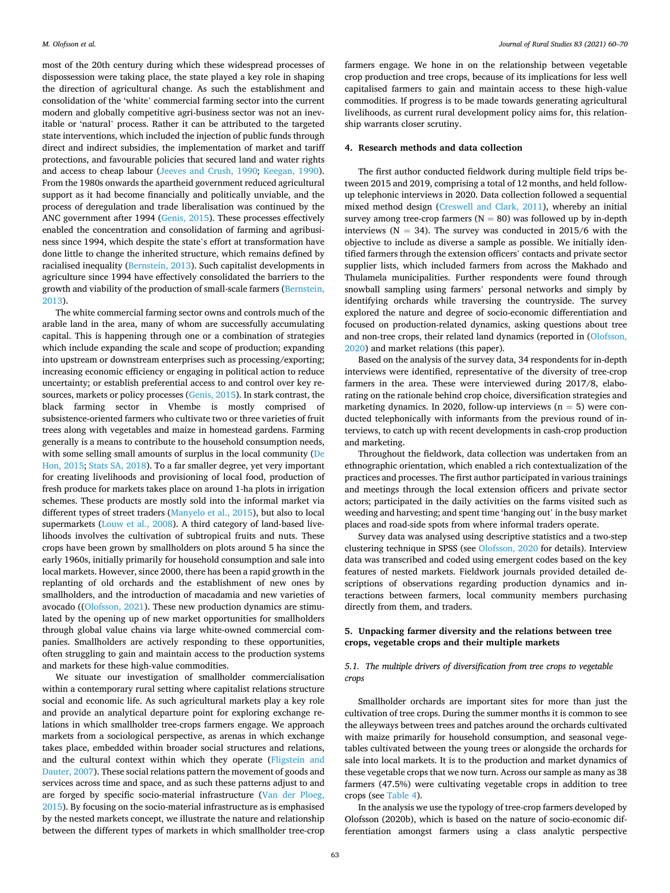<span id="page-4-0"></span>most of the 20th century during which these widespread processes of dispossession were taking place, the state played a key role in shaping the direction of agricultural change. As such the establishment and consolidation of the 'white' commercial farming sector into the current modern and globally competitive agri-business sector was not an inevitable or 'natural' process. Rather it can be attributed to the targeted state interventions, which included the injection of public funds through direct and indirect subsidies, the implementation of market and tariff protections, and favourable policies that secured land and water rights and access to cheap labour [\(Jeeves and Crush, 1990;](#page-10-0) [Keegan, 1990](#page-10-0)). From the 1980s onwards the apartheid government reduced agricultural support as it had become financially and politically unviable, and the process of deregulation and trade liberalisation was continued by the ANC government after 1994 ([Genis, 2015\)](#page-10-0). These processes effectively enabled the concentration and consolidation of farming and agribusiness since 1994, which despite the state's effort at transformation have done little to change the inherited structure, which remains defined by racialised inequality [\(Bernstein, 2013\)](#page-10-0). Such capitalist developments in agriculture since 1994 have effectively consolidated the barriers to the growth and viability of the production of small-scale farmers [\(Bernstein,](#page-10-0)  [2013\)](#page-10-0).

The white commercial farming sector owns and controls much of the arable land in the area, many of whom are successfully accumulating capital. This is happening through one or a combination of strategies which include expanding the scale and scope of production; expanding into upstream or downstream enterprises such as processing/exporting; increasing economic efficiency or engaging in political action to reduce uncertainty; or establish preferential access to and control over key resources, markets or policy processes [\(Genis, 2015\)](#page-10-0). In stark contrast, the black farming sector in Vhembe is mostly comprised of subsistence-oriented farmers who cultivate two or three varieties of fruit trees along with vegetables and maize in homestead gardens. Farming generally is a means to contribute to the household consumption needs, with some selling small amounts of surplus in the local community [\(De](#page-10-0)  [Hon, 2015;](#page-10-0) [Stats SA, 2018](#page-11-0)). To a far smaller degree, yet very important for creating livelihoods and provisioning of local food, production of fresh produce for markets takes place on around 1-ha plots in irrigation schemes. These products are mostly sold into the informal market via different types of street traders ([Manyelo et al., 2015\)](#page-10-0), but also to local supermarkets ([Louw et al., 2008\)](#page-10-0). A third category of land-based livelihoods involves the cultivation of subtropical fruits and nuts. These crops have been grown by smallholders on plots around 5 ha since the early 1960s, initially primarily for household consumption and sale into local markets. However, since 2000, there has been a rapid growth in the replanting of old orchards and the establishment of new ones by smallholders, and the introduction of macadamia and new varieties of avocado ([\(Olofsson, 2021](#page-11-0)). These new production dynamics are stimulated by the opening up of new market opportunities for smallholders through global value chains via large white-owned commercial companies. Smallholders are actively responding to these opportunities, often struggling to gain and maintain access to the production systems and markets for these high-value commodities.

We situate our investigation of smallholder commercialisation within a contemporary rural setting where capitalist relations structure social and economic life. As such agricultural markets play a key role and provide an analytical departure point for exploring exchange relations in which smallholder tree-crops farmers engage. We approach markets from a sociological perspective, as arenas in which exchange takes place, embedded within broader social structures and relations, and the cultural context within which they operate [\(Fligstein and](#page-10-0)  [Dauter, 2007](#page-10-0)). These social relations pattern the movement of goods and services across time and space, and as such these patterns adjust to and are forged by specific socio-material infrastructure [\(Van der Ploeg,](#page-11-0)  [2015\)](#page-11-0). By focusing on the socio-material infrastructure as is emphasised by the nested markets concept, we illustrate the nature and relationship between the different types of markets in which smallholder tree-crop

farmers engage. We hone in on the relationship between vegetable crop production and tree crops, because of its implications for less well capitalised farmers to gain and maintain access to these high-value commodities. If progress is to be made towards generating agricultural livelihoods, as current rural development policy aims for, this relationship warrants closer scrutiny.

#### **4. Research methods and data collection**

The first author conducted fieldwork during multiple field trips between 2015 and 2019, comprising a total of 12 months, and held followup telephonic interviews in 2020. Data collection followed a sequential mixed method design ([Creswell and Clark, 2011\)](#page-10-0), whereby an initial survey among tree-crop farmers ( $N = 80$ ) was followed up by in-depth interviews ( $N = 34$ ). The survey was conducted in 2015/6 with the objective to include as diverse a sample as possible. We initially identified farmers through the extension officers' contacts and private sector supplier lists, which included farmers from across the Makhado and Thulamela municipalities. Further respondents were found through snowball sampling using farmers' personal networks and simply by identifying orchards while traversing the countryside. The survey explored the nature and degree of socio-economic differentiation and focused on production-related dynamics, asking questions about tree and non-tree crops, their related land dynamics (reported in [\(Olofsson,](#page-11-0)  [2020\)](#page-11-0) and market relations (this paper).

Based on the analysis of the survey data, 34 respondents for in-depth interviews were identified, representative of the diversity of tree-crop farmers in the area. These were interviewed during 2017/8, elaborating on the rationale behind crop choice, diversification strategies and marketing dynamics. In 2020, follow-up interviews  $(n = 5)$  were conducted telephonically with informants from the previous round of interviews, to catch up with recent developments in cash-crop production and marketing.

Throughout the fieldwork, data collection was undertaken from an ethnographic orientation, which enabled a rich contextualization of the practices and processes. The first author participated in various trainings and meetings through the local extension officers and private sector actors; participated in the daily activities on the farms visited such as weeding and harvesting; and spent time 'hanging out' in the busy market places and road-side spots from where informal traders operate.

Survey data was analysed using descriptive statistics and a two-step clustering technique in SPSS (see [Olofsson, 2020](#page-11-0) for details). Interview data was transcribed and coded using emergent codes based on the key features of nested markets. Fieldwork journals provided detailed descriptions of observations regarding production dynamics and interactions between farmers, local community members purchasing directly from them, and traders.

#### **5. Unpacking farmer diversity and the relations between tree crops, vegetable crops and their multiple markets**

#### *5.1. The multiple drivers of diversification from tree crops to vegetable crops*

Smallholder orchards are important sites for more than just the cultivation of tree crops. During the summer months it is common to see the alleyways between trees and patches around the orchards cultivated with maize primarily for household consumption, and seasonal vegetables cultivated between the young trees or alongside the orchards for sale into local markets. It is to the production and market dynamics of these vegetable crops that we now turn. Across our sample as many as 38 farmers (47.5%) were cultivating vegetable crops in addition to tree crops (see [Table 4\)](#page-6-0).

In the analysis we use the typology of tree-crop farmers developed by Olofsson (2020b), which is based on the nature of socio-economic differentiation amongst farmers using a class analytic perspective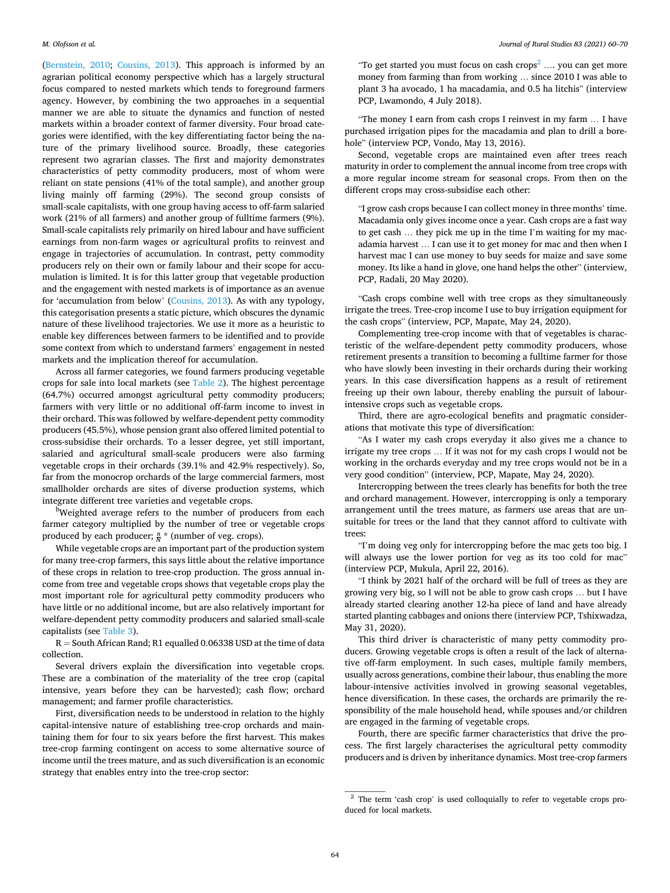([Bernstein, 2010;](#page-10-0) [Cousins, 2013\)](#page-10-0). This approach is informed by an agrarian political economy perspective which has a largely structural focus compared to nested markets which tends to foreground farmers agency. However, by combining the two approaches in a sequential manner we are able to situate the dynamics and function of nested markets within a broader context of farmer diversity. Four broad categories were identified, with the key differentiating factor being the nature of the primary livelihood source. Broadly, these categories represent two agrarian classes. The first and majority demonstrates characteristics of petty commodity producers, most of whom were reliant on state pensions (41% of the total sample), and another group living mainly off farming (29%). The second group consists of small-scale capitalists, with one group having access to off-farm salaried work (21% of all farmers) and another group of fulltime farmers (9%). Small-scale capitalists rely primarily on hired labour and have sufficient earnings from non-farm wages or agricultural profits to reinvest and engage in trajectories of accumulation. In contrast, petty commodity producers rely on their own or family labour and their scope for accumulation is limited. It is for this latter group that vegetable production and the engagement with nested markets is of importance as an avenue for 'accumulation from below' [\(Cousins, 2013](#page-10-0)). As with any typology, this categorisation presents a static picture, which obscures the dynamic nature of these livelihood trajectories. We use it more as a heuristic to enable key differences between farmers to be identified and to provide some context from which to understand farmers' engagement in nested markets and the implication thereof for accumulation.

Across all farmer categories, we found farmers producing vegetable crops for sale into local markets (see [Table 2](#page-6-0)). The highest percentage (64.7%) occurred amongst agricultural petty commodity producers; farmers with very little or no additional off-farm income to invest in their orchard. This was followed by welfare-dependent petty commodity producers (45.5%), whose pension grant also offered limited potential to cross-subsidise their orchards. To a lesser degree, yet still important, salaried and agricultural small-scale producers were also farming vegetable crops in their orchards (39.1% and 42.9% respectively). So, far from the monocrop orchards of the large commercial farmers, most smallholder orchards are sites of diverse production systems, which integrate different tree varieties and vegetable crops. b

<sup>b</sup>Weighted average refers to the number of producers from each farmer category multiplied by the number of tree or vegetable crops produced by each producer;  $\frac{n}{N}$ <sup>\*</sup> (number of veg. crops).

While vegetable crops are an important part of the production system for many tree-crop farmers, this says little about the relative importance of these crops in relation to tree-crop production. The gross annual income from tree and vegetable crops shows that vegetable crops play the most important role for agricultural petty commodity producers who have little or no additional income, but are also relatively important for welfare-dependent petty commodity producers and salaried small-scale capitalists (see [Table 3](#page-6-0)).

 $R =$  South African Rand; R1 equalled 0.06338 USD at the time of data collection.

Several drivers explain the diversification into vegetable crops. These are a combination of the materiality of the tree crop (capital intensive, years before they can be harvested); cash flow; orchard management; and farmer profile characteristics.

First, diversification needs to be understood in relation to the highly capital-intensive nature of establishing tree-crop orchards and maintaining them for four to six years before the first harvest. This makes tree-crop farming contingent on access to some alternative source of income until the trees mature, and as such diversification is an economic strategy that enables entry into the tree-crop sector:

"To get started you must focus on cash crops<sup>2</sup> ..., you can get more money from farming than from working … since 2010 I was able to plant 3 ha avocado, 1 ha macadamia, and 0.5 ha litchis" (interview PCP, Lwamondo, 4 July 2018).

"The money I earn from cash crops I reinvest in my farm … I have purchased irrigation pipes for the macadamia and plan to drill a borehole" (interview PCP, Vondo, May 13, 2016).

Second, vegetable crops are maintained even after trees reach maturity in order to complement the annual income from tree crops with a more regular income stream for seasonal crops. From then on the different crops may cross-subsidise each other:

"I grow cash crops because I can collect money in three months' time. Macadamia only gives income once a year. Cash crops are a fast way to get cash … they pick me up in the time I'm waiting for my macadamia harvest … I can use it to get money for mac and then when I harvest mac I can use money to buy seeds for maize and save some money. Its like a hand in glove, one hand helps the other" (interview, PCP, Radali, 20 May 2020).

"Cash crops combine well with tree crops as they simultaneously irrigate the trees. Tree-crop income I use to buy irrigation equipment for the cash crops" (interview, PCP, Mapate, May 24, 2020).

Complementing tree-crop income with that of vegetables is characteristic of the welfare-dependent petty commodity producers, whose retirement presents a transition to becoming a fulltime farmer for those who have slowly been investing in their orchards during their working years. In this case diversification happens as a result of retirement freeing up their own labour, thereby enabling the pursuit of labourintensive crops such as vegetable crops.

Third, there are agro-ecological benefits and pragmatic considerations that motivate this type of diversification:

"As I water my cash crops everyday it also gives me a chance to irrigate my tree crops … If it was not for my cash crops I would not be working in the orchards everyday and my tree crops would not be in a very good condition" (interview, PCP, Mapate, May 24, 2020).

Intercropping between the trees clearly has benefits for both the tree and orchard management. However, intercropping is only a temporary arrangement until the trees mature, as farmers use areas that are unsuitable for trees or the land that they cannot afford to cultivate with trees:

"I'm doing veg only for intercropping before the mac gets too big. I will always use the lower portion for veg as its too cold for mac" (interview PCP, Mukula, April 22, 2016).

"I think by 2021 half of the orchard will be full of trees as they are growing very big, so I will not be able to grow cash crops … but I have already started clearing another 12-ha piece of land and have already started planting cabbages and onions there (interview PCP, Tshixwadza, May 31, 2020).

This third driver is characteristic of many petty commodity producers. Growing vegetable crops is often a result of the lack of alternative off-farm employment. In such cases, multiple family members, usually across generations, combine their labour, thus enabling the more labour-intensive activities involved in growing seasonal vegetables, hence diversification. In these cases, the orchards are primarily the responsibility of the male household head, while spouses and/or children are engaged in the farming of vegetable crops.

Fourth, there are specific farmer characteristics that drive the process. The first largely characterises the agricultural petty commodity producers and is driven by inheritance dynamics. Most tree-crop farmers

<sup>2</sup> The term 'cash crop' is used colloquially to refer to vegetable crops produced for local markets.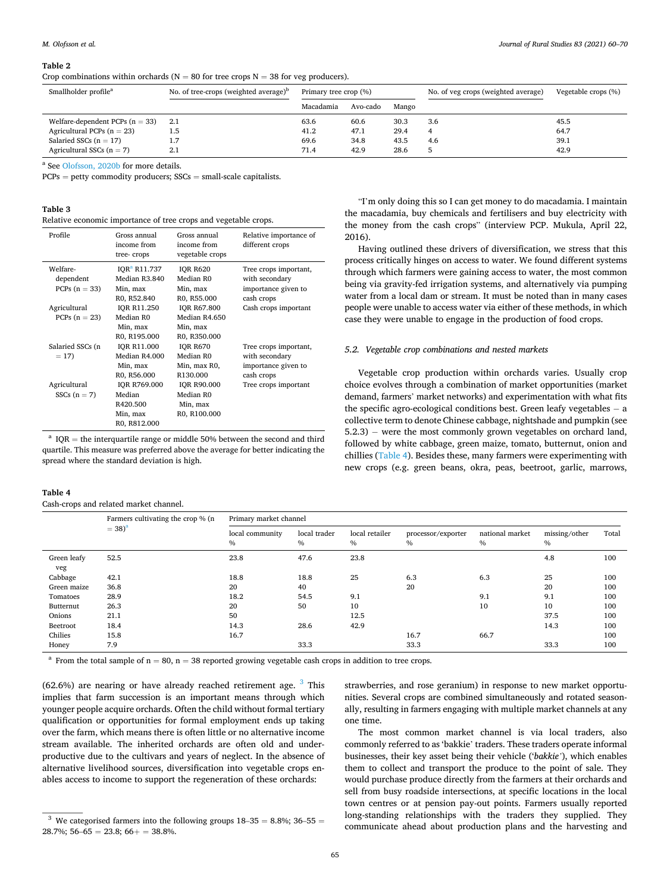<span id="page-6-0"></span>**Table 2** 

Crop combinations within orchards ( $N = 80$  for tree crops  $N = 38$  for veg producers).

| Smallholder profile <sup>a</sup>  | No. of tree-crops (weighted average) <sup>b</sup> | Primary tree crop (%) |          |       |     |      | No. of veg crops (weighted average) | Vegetable crops (%) |
|-----------------------------------|---------------------------------------------------|-----------------------|----------|-------|-----|------|-------------------------------------|---------------------|
|                                   |                                                   | Macadamia             | Avo-cado | Mango |     |      |                                     |                     |
| Welfare-dependent PCPs $(n = 33)$ |                                                   | 63.6                  | 60.6     | 30.3  | 3.6 | 45.5 |                                     |                     |
| Agricultural PCPs $(n = 23)$      | 1.5                                               | 41.2                  | 47.1     | 29.4  | 4   | 64.7 |                                     |                     |
| Salaried SSCs $(n = 17)$          |                                                   | 69.6                  | 34.8     | 43.5  | 4.6 | 39.1 |                                     |                     |
| Agricultural SSCs $(n = 7)$       | 2.1                                               | 71.4                  | 42.9     | 28.6  |     | 42.9 |                                     |                     |

a See [Olofsson, 2020b](#page-11-0) for more details.

 $PCPs = petty$  commodity producers;  $SSCs = small-scale$  capitalists.

|  | Relative economic importance of tree crops and vegetable crops. |  |  |  |
|--|-----------------------------------------------------------------|--|--|--|
|  |                                                                 |  |  |  |

| Profile                                  | Gross annual<br>income from<br>tree-crops                                            | Gross annual<br>income from<br>vegetable crops                                      | Relative importance of<br>different crops                      |
|------------------------------------------|--------------------------------------------------------------------------------------|-------------------------------------------------------------------------------------|----------------------------------------------------------------|
| Welfare-<br>dependent<br>PCPs $(n = 33)$ | IOR <sup>a</sup> R11.737<br>Median R3.840<br>Min, max                                | <b>IOR R620</b><br>Median R0<br>Min, max                                            | Tree crops important,<br>with secondary<br>importance given to |
| Agricultural<br>PCPs $(n = 23)$          | R0, R52.840<br><b>IOR R11.250</b><br>Median R0<br>Min, max                           | R0, R55.000<br><b>IOR R67.800</b><br>Median R4.650<br>Min, max                      | cash crops<br>Cash crops important                             |
| Salaried SSCs (n<br>$= 17$               | R0, R195.000<br><b>IOR R11.000</b><br>Median R4.000<br>Min, max                      | R0, R350.000<br><b>IOR R670</b><br>Median R0<br>Min, max R0,                        | Tree crops important,<br>with secondary<br>importance given to |
| Agricultural<br>$SSCs$ (n = 7)           | R0, R56.000<br><b>IOR R769.000</b><br>Median<br>R420.500<br>Min, max<br>R0, R812.000 | R <sub>130.000</sub><br><b>IOR R90.000</b><br>Median R0<br>Min, max<br>R0, R100.000 | cash crops<br>Tree crops important                             |

<sup>a</sup> IQR = the interquartile range or middle 50% between the second and third quartile. This measure was preferred above the average for better indicating the spread where the standard deviation is high.

#### **Table 4**

Cash-crops and related market channel.

"I'm only doing this so I can get money to do macadamia. I maintain the macadamia, buy chemicals and fertilisers and buy electricity with the money from the cash crops" (interview PCP. Mukula, April 22, 2016).

Having outlined these drivers of diversification, we stress that this process critically hinges on access to water. We found different systems through which farmers were gaining access to water, the most common being via gravity-fed irrigation systems, and alternatively via pumping water from a local dam or stream. It must be noted than in many cases people were unable to access water via either of these methods, in which case they were unable to engage in the production of food crops.

#### *5.2. Vegetable crop combinations and nested markets*

Vegetable crop production within orchards varies. Usually crop choice evolves through a combination of market opportunities (market demand, farmers' market networks) and experimentation with what fits the specific agro-ecological conditions best. Green leafy vegetables  $-$  a collective term to denote Chinese cabbage, nightshade and pumpkin (see 5.2.3) – were the most commonly grown vegetables on orchard land, followed by white cabbage, green maize, tomato, butternut, onion and chillies (Table 4). Besides these, many farmers were experimenting with new crops (e.g. green beans, okra, peas, beetroot, garlic, marrows,

|                    | Farmers cultivating the crop % (n<br>$= 38)^{a}$ | Primary market channel           |                      |                        |                         |                         |                       |       |
|--------------------|--------------------------------------------------|----------------------------------|----------------------|------------------------|-------------------------|-------------------------|-----------------------|-------|
|                    |                                                  | local community<br>$\frac{0}{0}$ | local trader<br>$\%$ | local retailer<br>$\%$ | processor/exporter<br>% | national market<br>$\%$ | missing/other<br>$\%$ | Total |
| Green leafy<br>veg | 52.5                                             | 23.8                             | 47.6                 | 23.8                   |                         |                         | 4.8                   | 100   |
| Cabbage            | 42.1                                             | 18.8                             | 18.8                 | 25                     | 6.3                     | 6.3                     | 25                    | 100   |
| Green maize        | 36.8                                             | 20                               | 40                   |                        | 20                      |                         | 20                    | 100   |
| Tomatoes           | 28.9                                             | 18.2                             | 54.5                 | 9.1                    |                         | 9.1                     | 9.1                   | 100   |
| Butternut          | 26.3                                             | 20                               | 50                   | 10                     |                         | 10                      | 10                    | 100   |
| Onions             | 21.1                                             | 50                               |                      | 12.5                   |                         |                         | 37.5                  | 100   |
| Beetroot           | 18.4                                             | 14.3                             | 28.6                 | 42.9                   |                         |                         | 14.3                  | 100   |
| Chilies            | 15.8                                             | 16.7                             |                      |                        | 16.7                    | 66.7                    |                       | 100   |
| Honey              | 7.9                                              |                                  | 33.3                 |                        | 33.3                    |                         | 33.3                  | 100   |

<sup>a</sup> From the total sample of  $n = 80$ ,  $n = 38$  reported growing vegetable cash crops in addition to tree crops.

 $(62.6%)$  are nearing or have already reached retirement age.  $3$  This implies that farm succession is an important means through which younger people acquire orchards. Often the child without formal tertiary qualification or opportunities for formal employment ends up taking over the farm, which means there is often little or no alternative income stream available. The inherited orchards are often old and underproductive due to the cultivars and years of neglect. In the absence of alternative livelihood sources, diversification into vegetable crops enables access to income to support the regeneration of these orchards:

strawberries, and rose geranium) in response to new market opportunities. Several crops are combined simultaneously and rotated seasonally, resulting in farmers engaging with multiple market channels at any one time.

The most common market channel is via local traders, also commonly referred to as 'bakkie' traders. These traders operate informal businesses, their key asset being their vehicle ('*bakkie'*), which enables them to collect and transport the produce to the point of sale. They would purchase produce directly from the farmers at their orchards and sell from busy roadside intersections, at specific locations in the local town centres or at pension pay-out points. Farmers usually reported long-standing relationships with the traders they supplied. They communicate ahead about production plans and the harvesting and

<sup>&</sup>lt;sup>3</sup> We categorised farmers into the following groups  $18-35 = 8.8\%$ ;  $36-55 =$  $28.7\%$ ; 56–65 = 23.8; 66+ = 38.8%.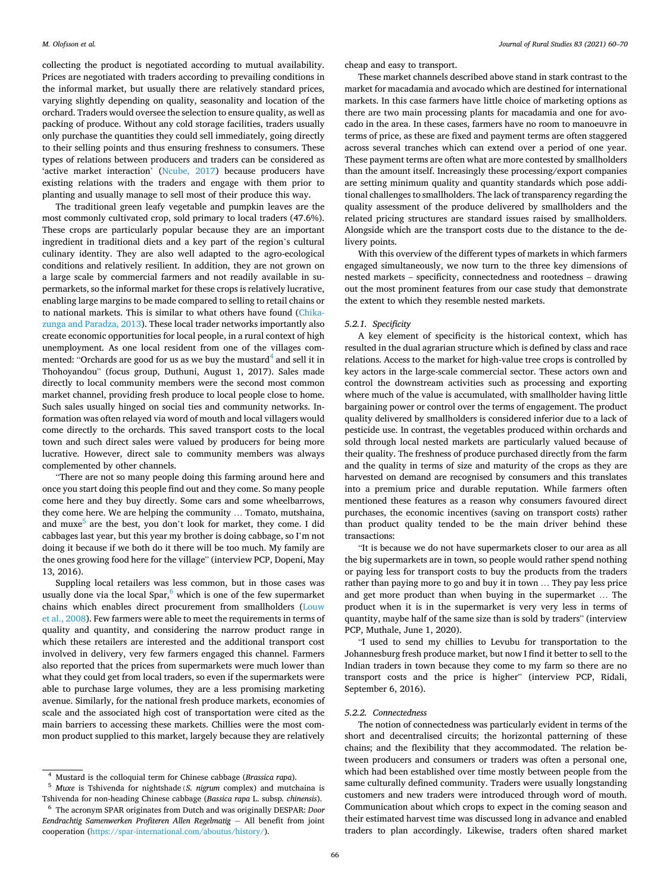collecting the product is negotiated according to mutual availability. Prices are negotiated with traders according to prevailing conditions in the informal market, but usually there are relatively standard prices, varying slightly depending on quality, seasonality and location of the orchard. Traders would oversee the selection to ensure quality, as well as packing of produce. Without any cold storage facilities, traders usually only purchase the quantities they could sell immediately, going directly to their selling points and thus ensuring freshness to consumers. These types of relations between producers and traders can be considered as 'active market interaction' [\(Ncube, 2017\)](#page-11-0) because producers have existing relations with the traders and engage with them prior to planting and usually manage to sell most of their produce this way.

The traditional green leafy vegetable and pumpkin leaves are the most commonly cultivated crop, sold primary to local traders (47.6%). These crops are particularly popular because they are an important ingredient in traditional diets and a key part of the region's cultural culinary identity. They are also well adapted to the agro-ecological conditions and relatively resilient. In addition, they are not grown on a large scale by commercial farmers and not readily available in supermarkets, so the informal market for these crops is relatively lucrative, enabling large margins to be made compared to selling to retail chains or to national markets. This is similar to what others have found ([Chika](#page-10-0)[zunga and Paradza, 2013\)](#page-10-0). These local trader networks importantly also create economic opportunities for local people, in a rural context of high unemployment. As one local resident from one of the villages commented: "Orchards are good for us as we buy the mustard<sup>4</sup> and sell it in Thohoyandou" (focus group, Duthuni, August 1, 2017). Sales made directly to local community members were the second most common market channel, providing fresh produce to local people close to home. Such sales usually hinged on social ties and community networks. Information was often relayed via word of mouth and local villagers would come directly to the orchards. This saved transport costs to the local town and such direct sales were valued by producers for being more lucrative. However, direct sale to community members was always complemented by other channels.

"There are not so many people doing this farming around here and once you start doing this people find out and they come. So many people come here and they buy directly. Some cars and some wheelbarrows, they come here. We are helping the community … Tomato, mutshaina, and muxe<sup>5</sup> are the best, you don't look for market, they come. I did cabbages last year, but this year my brother is doing cabbage, so I'm not doing it because if we both do it there will be too much. My family are the ones growing food here for the village" (interview PCP, Dopeni, May 13, 2016).

Suppling local retailers was less common, but in those cases was usually done via the local Spar, $6$  which is one of the few supermarket chains which enables direct procurement from smallholders [\(Louw](#page-10-0)  [et al., 2008](#page-10-0)). Few farmers were able to meet the requirements in terms of quality and quantity, and considering the narrow product range in which these retailers are interested and the additional transport cost involved in delivery, very few farmers engaged this channel. Farmers also reported that the prices from supermarkets were much lower than what they could get from local traders, so even if the supermarkets were able to purchase large volumes, they are a less promising marketing avenue. Similarly, for the national fresh produce markets, economies of scale and the associated high cost of transportation were cited as the main barriers to accessing these markets. Chillies were the most common product supplied to this market, largely because they are relatively

4 Mustard is the colloquial term for Chinese cabbage (*Brassica rapa*). 5 *Muxe* is Tshivenda for nightshade(*S. nigrum* complex) and mutchaina is

cheap and easy to transport.

These market channels described above stand in stark contrast to the market for macadamia and avocado which are destined for international markets. In this case farmers have little choice of marketing options as there are two main processing plants for macadamia and one for avocado in the area. In these cases, farmers have no room to manoeuvre in terms of price, as these are fixed and payment terms are often staggered across several tranches which can extend over a period of one year. These payment terms are often what are more contested by smallholders than the amount itself. Increasingly these processing/export companies are setting minimum quality and quantity standards which pose additional challenges to smallholders. The lack of transparency regarding the quality assessment of the produce delivered by smallholders and the related pricing structures are standard issues raised by smallholders. Alongside which are the transport costs due to the distance to the delivery points.

With this overview of the different types of markets in which farmers engaged simultaneously, we now turn to the three key dimensions of nested markets – specificity, connectedness and rootedness – drawing out the most prominent features from our case study that demonstrate the extent to which they resemble nested markets.

#### *5.2.1. Specificity*

A key element of specificity is the historical context, which has resulted in the dual agrarian structure which is defined by class and race relations. Access to the market for high-value tree crops is controlled by key actors in the large-scale commercial sector. These actors own and control the downstream activities such as processing and exporting where much of the value is accumulated, with smallholder having little bargaining power or control over the terms of engagement. The product quality delivered by smallholders is considered inferior due to a lack of pesticide use. In contrast, the vegetables produced within orchards and sold through local nested markets are particularly valued because of their quality. The freshness of produce purchased directly from the farm and the quality in terms of size and maturity of the crops as they are harvested on demand are recognised by consumers and this translates into a premium price and durable reputation. While farmers often mentioned these features as a reason why consumers favoured direct purchases, the economic incentives (saving on transport costs) rather than product quality tended to be the main driver behind these transactions:

"It is because we do not have supermarkets closer to our area as all the big supermarkets are in town, so people would rather spend nothing or paying less for transport costs to buy the products from the traders rather than paying more to go and buy it in town … They pay less price and get more product than when buying in the supermarket … The product when it is in the supermarket is very very less in terms of quantity, maybe half of the same size than is sold by traders" (interview PCP, Muthale, June 1, 2020).

"I used to send my chillies to Levubu for transportation to the Johannesburg fresh produce market, but now I find it better to sell to the Indian traders in town because they come to my farm so there are no transport costs and the price is higher" (interview PCP, Ridali, September 6, 2016).

#### *5.2.2. Connectedness*

The notion of connectedness was particularly evident in terms of the short and decentralised circuits; the horizontal patterning of these chains; and the flexibility that they accommodated. The relation between producers and consumers or traders was often a personal one, which had been established over time mostly between people from the same culturally defined community. Traders were usually longstanding customers and new traders were introduced through word of mouth. Communication about which crops to expect in the coming season and their estimated harvest time was discussed long in advance and enabled traders to plan accordingly. Likewise, traders often shared market

Tshivenda for non-heading Chinese cabbage (*Bassica rapa* L. subsp*. chinensis*). 6 The acronym SPAR originates from Dutch and was originally DESPAR: *Door Eendrachtig Samenwerken Profiteren Allen Regelmatig* − All benefit from joint cooperation [\(https://spar-international.com/aboutus/history/\)](https://spar-international.com/aboutus/history/).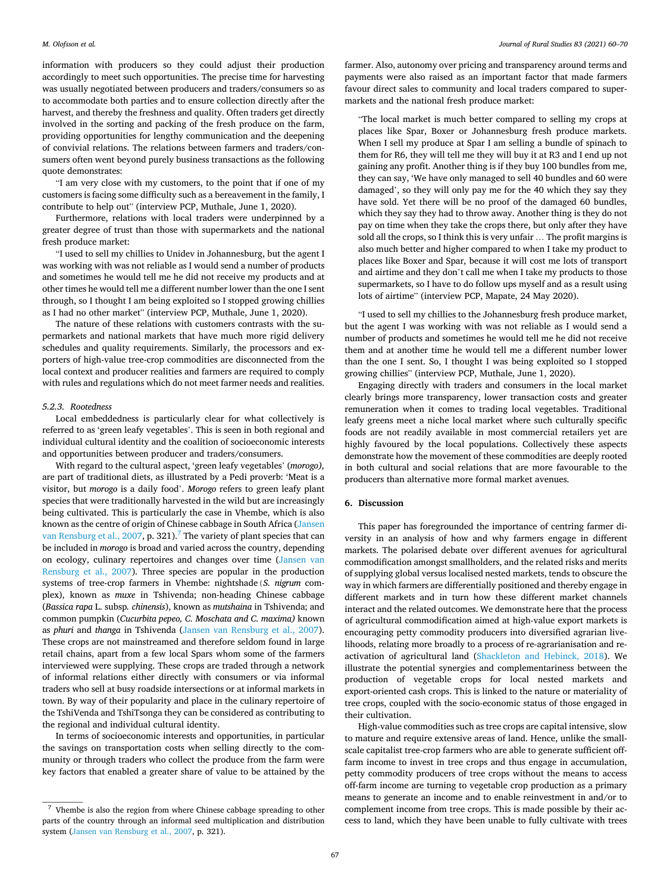<span id="page-8-0"></span>information with producers so they could adjust their production accordingly to meet such opportunities. The precise time for harvesting was usually negotiated between producers and traders/consumers so as to accommodate both parties and to ensure collection directly after the harvest, and thereby the freshness and quality. Often traders get directly involved in the sorting and packing of the fresh produce on the farm, providing opportunities for lengthy communication and the deepening of convivial relations. The relations between farmers and traders/consumers often went beyond purely business transactions as the following quote demonstrates:

"I am very close with my customers, to the point that if one of my customers is facing some difficulty such as a bereavement in the family, I contribute to help out" (interview PCP, Muthale, June 1, 2020).

Furthermore, relations with local traders were underpinned by a greater degree of trust than those with supermarkets and the national fresh produce market:

"I used to sell my chillies to Unidev in Johannesburg, but the agent I was working with was not reliable as I would send a number of products and sometimes he would tell me he did not receive my products and at other times he would tell me a different number lower than the one I sent through, so I thought I am being exploited so I stopped growing chillies as I had no other market" (interview PCP, Muthale, June 1, 2020).

The nature of these relations with customers contrasts with the supermarkets and national markets that have much more rigid delivery schedules and quality requirements. Similarly, the processors and exporters of high-value tree-crop commodities are disconnected from the local context and producer realities and farmers are required to comply with rules and regulations which do not meet farmer needs and realities.

#### *5.2.3. Rootedness*

Local embeddedness is particularly clear for what collectively is referred to as 'green leafy vegetables'. This is seen in both regional and individual cultural identity and the coalition of socioeconomic interests and opportunities between producer and traders/consumers.

With regard to the cultural aspect, 'green leafy vegetables' (*morogo),*  are part of traditional diets, as illustrated by a Pedi proverb: 'Meat is a visitor, but *morogo* is a daily food'. *Morogo* refers to green leafy plant species that were traditionally harvested in the wild but are increasingly being cultivated. This is particularly the case in Vhembe, which is also known as the centre of origin of Chinese cabbage in South Africa ([Jansen](#page-10-0)  [van Rensburg et al., 2007](#page-10-0), p. 321).<sup>7</sup> The variety of plant species that can be included in *morogo* is broad and varied across the country, depending on ecology, culinary repertoires and changes over time [\(Jansen van](#page-10-0)  [Rensburg et al., 2007](#page-10-0)). Three species are popular in the production systems of tree-crop farmers in Vhembe: nightshade(*S. nigrum* complex), known as *muxe* in Tshivenda; non-heading Chinese cabbage (*Bassica rapa* L. subsp*. chinensis*), known as *mutshaina* in Tshivenda; and common pumpkin (*Cucurbita pepeo, C. Moschata and C. maxima)* known as *phuri* and *thanga* in Tshivenda ([Jansen van Rensburg et al., 2007](#page-10-0)). These crops are not mainstreamed and therefore seldom found in large retail chains, apart from a few local Spars whom some of the farmers interviewed were supplying. These crops are traded through a network of informal relations either directly with consumers or via informal traders who sell at busy roadside intersections or at informal markets in town. By way of their popularity and place in the culinary repertoire of the TshiVenda and TshiTsonga they can be considered as contributing to the regional and individual cultural identity.

In terms of socioeconomic interests and opportunities, in particular the savings on transportation costs when selling directly to the community or through traders who collect the produce from the farm were key factors that enabled a greater share of value to be attained by the

farmer. Also, autonomy over pricing and transparency around terms and payments were also raised as an important factor that made farmers favour direct sales to community and local traders compared to supermarkets and the national fresh produce market:

"The local market is much better compared to selling my crops at places like Spar, Boxer or Johannesburg fresh produce markets. When I sell my produce at Spar I am selling a bundle of spinach to them for R6, they will tell me they will buy it at R3 and I end up not gaining any profit. Another thing is if they buy 100 bundles from me, they can say, 'We have only managed to sell 40 bundles and 60 were damaged', so they will only pay me for the 40 which they say they have sold. Yet there will be no proof of the damaged 60 bundles, which they say they had to throw away. Another thing is they do not pay on time when they take the crops there, but only after they have sold all the crops, so I think this is very unfair … The profit margins is also much better and higher compared to when I take my product to places like Boxer and Spar, because it will cost me lots of transport and airtime and they don't call me when I take my products to those supermarkets, so I have to do follow ups myself and as a result using lots of airtime" (interview PCP, Mapate, 24 May 2020).

"I used to sell my chillies to the Johannesburg fresh produce market, but the agent I was working with was not reliable as I would send a number of products and sometimes he would tell me he did not receive them and at another time he would tell me a different number lower than the one I sent. So, I thought I was being exploited so I stopped growing chillies" (interview PCP, Muthale, June 1, 2020).

Engaging directly with traders and consumers in the local market clearly brings more transparency, lower transaction costs and greater remuneration when it comes to trading local vegetables. Traditional leafy greens meet a niche local market where such culturally specific foods are not readily available in most commercial retailers yet are highly favoured by the local populations. Collectively these aspects demonstrate how the movement of these commodities are deeply rooted in both cultural and social relations that are more favourable to the producers than alternative more formal market avenues.

#### **6. Discussion**

This paper has foregrounded the importance of centring farmer diversity in an analysis of how and why farmers engage in different markets. The polarised debate over different avenues for agricultural commodification amongst smallholders, and the related risks and merits of supplying global versus localised nested markets, tends to obscure the way in which farmers are differentially positioned and thereby engage in different markets and in turn how these different market channels interact and the related outcomes. We demonstrate here that the process of agricultural commodification aimed at high-value export markets is encouraging petty commodity producers into diversified agrarian livelihoods, relating more broadly to a process of re-agrarianisation and reactivation of agricultural land [\(Shackleton and Hebinck, 2018](#page-11-0)). We illustrate the potential synergies and complementariness between the production of vegetable crops for local nested markets and export-oriented cash crops. This is linked to the nature or materiality of tree crops, coupled with the socio-economic status of those engaged in their cultivation.

High-value commodities such as tree crops are capital intensive, slow to mature and require extensive areas of land. Hence, unlike the smallscale capitalist tree-crop farmers who are able to generate sufficient offfarm income to invest in tree crops and thus engage in accumulation, petty commodity producers of tree crops without the means to access off-farm income are turning to vegetable crop production as a primary means to generate an income and to enable reinvestment in and/or to complement income from tree crops. This is made possible by their access to land, which they have been unable to fully cultivate with trees

 $^7\,$  Vhembe is also the region from where Chinese cabbage spreading to other parts of the country through an informal seed multiplication and distribution system [\(Jansen van Rensburg et al., 2007,](#page-10-0) p. 321).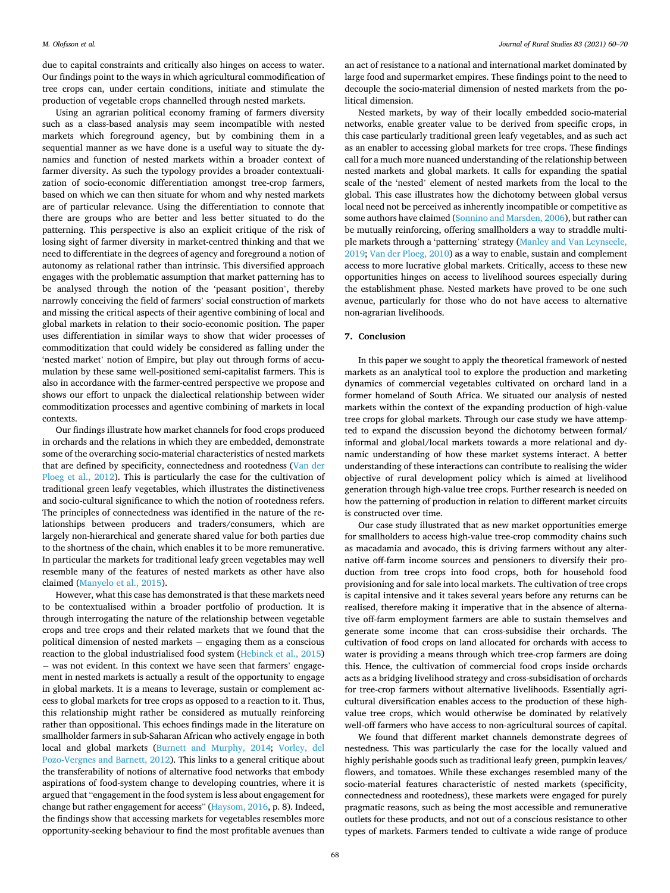due to capital constraints and critically also hinges on access to water. Our findings point to the ways in which agricultural commodification of tree crops can, under certain conditions, initiate and stimulate the production of vegetable crops channelled through nested markets.

Using an agrarian political economy framing of farmers diversity such as a class-based analysis may seem incompatible with nested markets which foreground agency, but by combining them in a sequential manner as we have done is a useful way to situate the dynamics and function of nested markets within a broader context of farmer diversity. As such the typology provides a broader contextualization of socio-economic differentiation amongst tree-crop farmers, based on which we can then situate for whom and why nested markets are of particular relevance. Using the differentiation to connote that there are groups who are better and less better situated to do the patterning. This perspective is also an explicit critique of the risk of losing sight of farmer diversity in market-centred thinking and that we need to differentiate in the degrees of agency and foreground a notion of autonomy as relational rather than intrinsic. This diversified approach engages with the problematic assumption that market patterning has to be analysed through the notion of the 'peasant position', thereby narrowly conceiving the field of farmers' social construction of markets and missing the critical aspects of their agentive combining of local and global markets in relation to their socio-economic position. The paper uses differentiation in similar ways to show that wider processes of commoditization that could widely be considered as falling under the 'nested market' notion of Empire, but play out through forms of accumulation by these same well-positioned semi-capitalist farmers. This is also in accordance with the farmer-centred perspective we propose and shows our effort to unpack the dialectical relationship between wider commoditization processes and agentive combining of markets in local contexts.

Our findings illustrate how market channels for food crops produced in orchards and the relations in which they are embedded, demonstrate some of the overarching socio-material characteristics of nested markets that are defined by specificity, connectedness and rootedness ([Van der](#page-11-0)  [Ploeg et al., 2012\)](#page-11-0). This is particularly the case for the cultivation of traditional green leafy vegetables, which illustrates the distinctiveness and socio-cultural significance to which the notion of rootedness refers. The principles of connectedness was identified in the nature of the relationships between producers and traders/consumers, which are largely non-hierarchical and generate shared value for both parties due to the shortness of the chain, which enables it to be more remunerative. In particular the markets for traditional leafy green vegetables may well resemble many of the features of nested markets as other have also claimed ([Manyelo et al., 2015\)](#page-10-0).

However, what this case has demonstrated is that these markets need to be contextualised within a broader portfolio of production. It is through interrogating the nature of the relationship between vegetable crops and tree crops and their related markets that we found that the political dimension of nested markets − engaging them as a conscious reaction to the global industrialised food system ([Hebinck et al., 2015\)](#page-10-0) − was not evident. In this context we have seen that farmers' engagement in nested markets is actually a result of the opportunity to engage in global markets. It is a means to leverage, sustain or complement access to global markets for tree crops as opposed to a reaction to it. Thus, this relationship might rather be considered as mutually reinforcing rather than oppositional. This echoes findings made in the literature on smallholder farmers in sub-Saharan African who actively engage in both local and global markets [\(Burnett and Murphy, 2014;](#page-10-0) [Vorley, del](#page-11-0)  [Pozo-Vergnes and Barnett, 2012](#page-11-0)). This links to a general critique about the transferability of notions of alternative food networks that embody aspirations of food-system change to developing countries, where it is argued that "engagement in the food system is less about engagement for change but rather engagement for access" ([Haysom, 2016](#page-10-0), p. 8). Indeed, the findings show that accessing markets for vegetables resembles more opportunity-seeking behaviour to find the most profitable avenues than

an act of resistance to a national and international market dominated by large food and supermarket empires. These findings point to the need to decouple the socio-material dimension of nested markets from the political dimension.

Nested markets, by way of their locally embedded socio-material networks, enable greater value to be derived from specific crops, in this case particularly traditional green leafy vegetables, and as such act as an enabler to accessing global markets for tree crops. These findings call for a much more nuanced understanding of the relationship between nested markets and global markets. It calls for expanding the spatial scale of the 'nested' element of nested markets from the local to the global. This case illustrates how the dichotomy between global versus local need not be perceived as inherently incompatible or competitive as some authors have claimed [\(Sonnino and Marsden, 2006](#page-11-0)), but rather can be mutually reinforcing, offering smallholders a way to straddle multiple markets through a 'patterning' strategy [\(Manley and Van Leynseele,](#page-10-0)  [2019;](#page-10-0) [Van der Ploeg, 2010\)](#page-11-0) as a way to enable, sustain and complement access to more lucrative global markets. Critically, access to these new opportunities hinges on access to livelihood sources especially during the establishment phase. Nested markets have proved to be one such avenue, particularly for those who do not have access to alternative non-agrarian livelihoods.

#### **7. Conclusion**

In this paper we sought to apply the theoretical framework of nested markets as an analytical tool to explore the production and marketing dynamics of commercial vegetables cultivated on orchard land in a former homeland of South Africa. We situated our analysis of nested markets within the context of the expanding production of high-value tree crops for global markets. Through our case study we have attempted to expand the discussion beyond the dichotomy between formal/ informal and global/local markets towards a more relational and dynamic understanding of how these market systems interact. A better understanding of these interactions can contribute to realising the wider objective of rural development policy which is aimed at livelihood generation through high-value tree crops. Further research is needed on how the patterning of production in relation to different market circuits is constructed over time.

Our case study illustrated that as new market opportunities emerge for smallholders to access high-value tree-crop commodity chains such as macadamia and avocado, this is driving farmers without any alternative off-farm income sources and pensioners to diversify their production from tree crops into food crops, both for household food provisioning and for sale into local markets. The cultivation of tree crops is capital intensive and it takes several years before any returns can be realised, therefore making it imperative that in the absence of alternative off-farm employment farmers are able to sustain themselves and generate some income that can cross-subsidise their orchards. The cultivation of food crops on land allocated for orchards with access to water is providing a means through which tree-crop farmers are doing this. Hence, the cultivation of commercial food crops inside orchards acts as a bridging livelihood strategy and cross-subsidisation of orchards for tree-crop farmers without alternative livelihoods. Essentially agricultural diversification enables access to the production of these highvalue tree crops, which would otherwise be dominated by relatively well-off farmers who have access to non-agricultural sources of capital.

We found that different market channels demonstrate degrees of nestedness. This was particularly the case for the locally valued and highly perishable goods such as traditional leafy green, pumpkin leaves/ flowers, and tomatoes. While these exchanges resembled many of the socio-material features characteristic of nested markets (specificity, connectedness and rootedness), these markets were engaged for purely pragmatic reasons, such as being the most accessible and remunerative outlets for these products, and not out of a conscious resistance to other types of markets. Farmers tended to cultivate a wide range of produce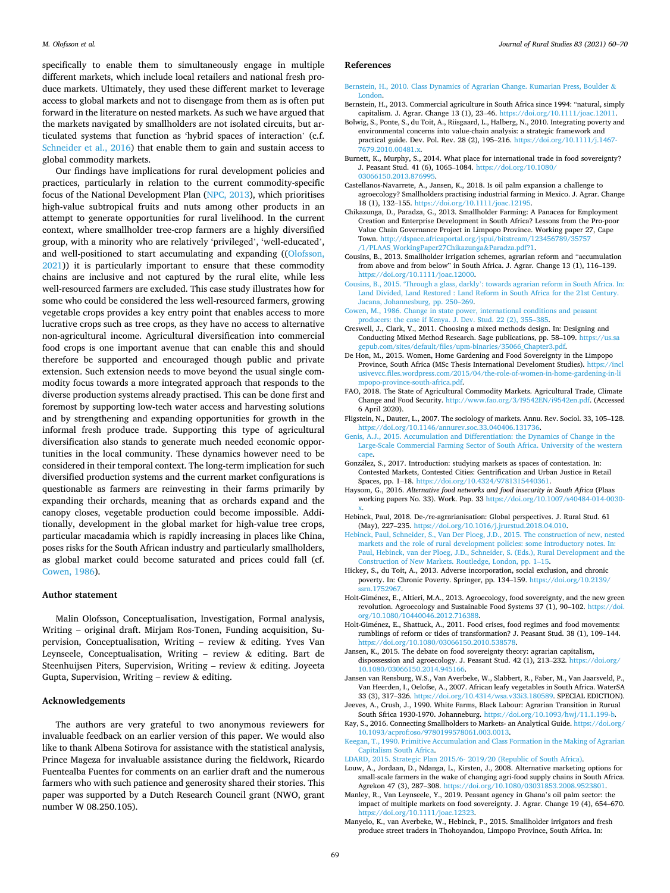<span id="page-10-0"></span>specifically to enable them to simultaneously engage in multiple different markets, which include local retailers and national fresh produce markets. Ultimately, they used these different market to leverage access to global markets and not to disengage from them as is often put forward in the literature on nested markets. As such we have argued that the markets navigated by smallholders are not isolated circuits, but articulated systems that function as 'hybrid spaces of interaction' (c.f. [Schneider et al., 2016](#page-11-0)) that enable them to gain and sustain access to global commodity markets.

Our findings have implications for rural development policies and practices, particularly in relation to the current commodity-specific focus of the National Development Plan ([NPC, 2013\)](#page-11-0), which prioritises high-value subtropical fruits and nuts among other products in an attempt to generate opportunities for rural livelihood. In the current context, where smallholder tree-crop farmers are a highly diversified group, with a minority who are relatively 'privileged', 'well-educated', and well-positioned to start accumulating and expanding ([\(Olofsson,](#page-11-0)  [2021\)](#page-11-0)) it is particularly important to ensure that these commodity chains are inclusive and not captured by the rural elite, while less well-resourced farmers are excluded. This case study illustrates how for some who could be considered the less well-resourced farmers, growing vegetable crops provides a key entry point that enables access to more lucrative crops such as tree crops, as they have no access to alternative non-agricultural income. Agricultural diversification into commercial food crops is one important avenue that can enable this and should therefore be supported and encouraged though public and private extension. Such extension needs to move beyond the usual single commodity focus towards a more integrated approach that responds to the diverse production systems already practised. This can be done first and foremost by supporting low-tech water access and harvesting solutions and by strengthening and expanding opportunities for growth in the informal fresh produce trade. Supporting this type of agricultural diversification also stands to generate much needed economic opportunities in the local community. These dynamics however need to be considered in their temporal context. The long-term implication for such diversified production systems and the current market configurations is questionable as farmers are reinvesting in their farms primarily by expanding their orchards, meaning that as orchards expand and the canopy closes, vegetable production could become impossible. Additionally, development in the global market for high-value tree crops, particular macadamia which is rapidly increasing in places like China, poses risks for the South African industry and particularly smallholders, as global market could become saturated and prices could fall (cf. Cowen, 1986).

#### **Author statement**

Malin Olofsson, Conceptualisation, Investigation, Formal analysis, Writing – original draft. Mirjam Ros-Tonen, Funding acquisition, Supervision, Conceptualisation, Writing – review & editing. Yves Van Leynseele, Conceptualisation, Writing – review & editing. Bart de Steenhuijsen Piters, Supervision, Writing – review & editing. Joyeeta Gupta, Supervision, Writing – review  $&$  editing.

#### **Acknowledgements**

The authors are very grateful to two anonymous reviewers for invaluable feedback on an earlier version of this paper. We would also like to thank Albena Sotirova for assistance with the statistical analysis, Prince Mageza for invaluable assistance during the fieldwork, Ricardo Fuentealba Fuentes for comments on an earlier draft and the numerous farmers who with such patience and generosity shared their stories. This paper was supported by a Dutch Research Council grant (NWO, grant number W 08.250.105).

#### **References**

- [Bernstein, H., 2010. Class Dynamics of Agrarian Change. Kumarian Press, Boulder](http://refhub.elsevier.com/S0743-0167(21)00078-4/sref1) & [London.](http://refhub.elsevier.com/S0743-0167(21)00078-4/sref1)
- Bernstein, H., 2013. Commercial agriculture in South Africa since 1994: "natural, simply capitalism. J. Agrar. Change 13 (1), 23–46.<https://doi.org/10.1111/joac.12011>.
- Bolwig, S., Ponte, S., du Toit, A., Riisgaard, L., Halberg, N., 2010. Integrating poverty and environmental concerns into value-chain analysis: a strategic framework and practical guide. Dev. Pol. Rev. 28 (2), 195–216. [https://doi.org/10.1111/j.1467-](https://doi.org/10.1111/j.1467-7679.2010.00481.x) [7679.2010.00481.x.](https://doi.org/10.1111/j.1467-7679.2010.00481.x)
- Burnett, K., Murphy, S., 2014. What place for international trade in food sovereignty? J. Peasant Stud. 41 (6), 1065–1084. [https://doi.org/10.1080/](https://doi.org/10.1080/03066150.2013.876995) [03066150.2013.876995.](https://doi.org/10.1080/03066150.2013.876995)
- Castellanos-Navarrete, A., Jansen, K., 2018. Is oil palm expansion a challenge to agroecology? Smallholders practising industrial farming in Mexico. J. Agrar. Change 18 (1), 132–155. [https://doi.org/10.1111/joac.12195.](https://doi.org/10.1111/joac.12195)
- Chikazunga, D., Paradza, G., 2013. Smallholder Farming: A Panacea for Employment Creation and Enterprise Development in South Africa? Lessons from the Pro-poor Value Chain Governance Project in Limpopo Province. Working paper 27, Cape Town. [http://dspace.africaportal.org/jspui/bitstream/123456789/35757](http://dspace.africaportal.org/jspui/bitstream/123456789/35757/1/PLAAS_WorkingPaper27Chikazunga%26Paradza.pdf?1)  [/1/PLAAS\\_WorkingPaper27Chikazunga](http://dspace.africaportal.org/jspui/bitstream/123456789/35757/1/PLAAS_WorkingPaper27Chikazunga%26Paradza.pdf?1)&Paradza.pdf?1.
- Cousins, B., 2013. Smallholder irrigation schemes, agrarian reform and "accumulation from above and from below" in South Africa. J. Agrar. Change 13 (1), 116–139. [https://doi.org/10.1111/joac.12000.](https://doi.org/10.1111/joac.12000)
- Cousins, B., 2015. 'Through a glass, darkly'[: towards agrarian reform in South Africa. In:](http://refhub.elsevier.com/S0743-0167(21)00078-4/sref8)  [Land Divided, Land Restored : Land Reform in South Africa for the 21st Century.](http://refhub.elsevier.com/S0743-0167(21)00078-4/sref8) [Jacana, Johannesburg, pp. 250](http://refhub.elsevier.com/S0743-0167(21)00078-4/sref8)–269.
- [Cowen, M., 1986. Change in state power, international conditions and peasant](http://refhub.elsevier.com/S0743-0167(21)00078-4/sref9) [producers: the case if Kenya. J. Dev. Stud. 22 \(2\), 355](http://refhub.elsevier.com/S0743-0167(21)00078-4/sref9)–385.
- Creswell, J., Clark, V., 2011. Choosing a mixed methods design. In: Designing and Conducting Mixed Method Research. Sage publications, pp. 58–109. [https://us.sa](https://us.sagepub.com/sites/default/files/upm-binaries/35066_Chapter3.pdf) [gepub.com/sites/default/files/upm-binaries/35066\\_Chapter3.pdf.](https://us.sagepub.com/sites/default/files/upm-binaries/35066_Chapter3.pdf)
- De Hon, M., 2015. Women, Home Gardening and Food Sovereignty in the Limpopo Province, South Africa (MSc Thesis International Develoment Studies). [https://incl](https://inclusivevcc.files.wordpress.com/2015/04/the-role-of-women-in-home-gardening-in-limpopo-province-south-africa.pdf)  [usivevcc.files.wordpress.com/2015/04/the-role-of-women-in-home-gardening-in-li](https://inclusivevcc.files.wordpress.com/2015/04/the-role-of-women-in-home-gardening-in-limpopo-province-south-africa.pdf) [mpopo-province-south-africa.pdf](https://inclusivevcc.files.wordpress.com/2015/04/the-role-of-women-in-home-gardening-in-limpopo-province-south-africa.pdf).
- FAO, 2018. The State of Agricultural Commodity Markets. Agricultural Trade, Climate Change and Food Security.<http://www.fao.org/3/I9542EN/i9542en.pdf>. (Accessed 6 April 2020).
- Fligstein, N., Dauter, L., 2007. The sociology of markets. Annu. Rev. Sociol. 33, 105–128. [https://doi.org/10.1146/annurev.soc.33.040406.131736.](https://doi.org/10.1146/annurev.soc.33.040406.131736)
- [Genis, A.J., 2015. Accumulation and Differentiation: the Dynamics of Change in the](http://refhub.elsevier.com/S0743-0167(21)00078-4/sref14)  [Large-Scale Commercial Farming Sector of South Africa. University of the western](http://refhub.elsevier.com/S0743-0167(21)00078-4/sref14) [cape](http://refhub.elsevier.com/S0743-0167(21)00078-4/sref14).
- González, S., 2017. Introduction: studying markets as spaces of contestation. In: Contested Markets, Contested Cities: Gentrification and Urban Justice in Retail Spaces, pp. 1–18. [https://doi.org/10.4324/9781315440361.](https://doi.org/10.4324/9781315440361)
- Haysom, G., 2016. *Alternative food networks and food insecurity in South Africa* (Plaas working papers No. 33). Work. Pap. 33 [https://doi.org/10.1007/s40484-014-0030-](https://doi.org/10.1007/s40484-014-0030-x)
- [x.](https://doi.org/10.1007/s40484-014-0030-x) Hebinck, Paul, 2018. De-/re-agrarianisation: Global perspectives. J. Rural Stud. 61 (May), 227–235. [https://doi.org/10.1016/j.jrurstud.2018.04.010.](https://doi.org/10.1016/j.jrurstud.2018.04.010)
- [Hebinck, Paul, Schneider, S., Van Der Ploeg, J.D., 2015. The construction of new, nested](http://refhub.elsevier.com/S0743-0167(21)00078-4/sref17)  [markets and the role of rural development policies: some introductory notes. In:](http://refhub.elsevier.com/S0743-0167(21)00078-4/sref17)  [Paul, Hebinck, van der Ploeg, J.D., Schneider, S. \(Eds.\), Rural Development and the](http://refhub.elsevier.com/S0743-0167(21)00078-4/sref17)  [Construction of New Markets. Routledge, London, pp. 1](http://refhub.elsevier.com/S0743-0167(21)00078-4/sref17)–15.
- Hickey, S., du Toit, A., 2013. Adverse incorporation, social exclusion, and chronic poverty. In: Chronic Poverty. Springer, pp. 134–159. [https://doi.org/10.2139/](https://doi.org/10.2139/ssrn.1752967)  srn.175296
- Holt-Giménez, E., Altieri, M.A., 2013. Agroecology, food sovereignty, and the new green revolution. Agroecology and Sustainable Food Systems 37 (1), 90-102. https:/ [org/10.1080/10440046.2012.716388.](https://doi.org/10.1080/10440046.2012.716388)
- Holt-Giménez, E., Shattuck, A., 2011. Food crises, food regimes and food movements: rumblings of reform or tides of transformation? J. Peasant Stud. 38 (1), 109–144. [https://doi.org/10.1080/03066150.2010.538578.](https://doi.org/10.1080/03066150.2010.538578)
- Jansen, K., 2015. The debate on food sovereignty theory: agrarian capitalism, dispossession and agroecology. J. Peasant Stud. 42 (1), 213-232. https://doi.org/ [10.1080/03066150.2014.945166](https://doi.org/10.1080/03066150.2014.945166).
- Jansen van Rensburg, W.S., Van Averbeke, W., Slabbert, R., Faber, M., Van Jaarsveld, P., Van Heerden, I., Oelofse, A., 2007. African leafy vegetables in South Africa. WaterSA 33 (3), 317–326. [https://doi.org/10.4314/wsa.v33i3.180589.](https://doi.org/10.4314/wsa.v33i3.180589) SPECIAL EDICTION).
- Jeeves, A., Crush, J., 1990. White Farms, Black Labour: Agrarian Transition in Rurual South Sfrica 1930-1970. Johanneburg. [https://doi.org/10.1093/hwj/11.1.199-b.](https://doi.org/10.1093/hwj/11.1.199-b)
- Kay, S., 2016. Connecting Smallholders to Markets- an Analytical Guide. [https://doi.org/](https://doi.org/10.1093/acprof:oso/9780199578061.003.0013)  [10.1093/acprof:oso/9780199578061.003.0013.](https://doi.org/10.1093/acprof:oso/9780199578061.003.0013)
- [Keegan, T., 1990. Primitive Accumulation and Class Formation in the Making of Agrarian](http://refhub.elsevier.com/S0743-0167(21)00078-4/sref26)  [Capitalism South Africa](http://refhub.elsevier.com/S0743-0167(21)00078-4/sref26).

[LDARD, 2015. Strategic Plan 2015/6- 2019/20 \(Republic of South Africa\).](http://refhub.elsevier.com/S0743-0167(21)00078-4/sref27)

- Louw, A., Jordaan, D., Ndanga, L., Kirsten, J., 2008. Alternative marketing options for small-scale farmers in the wake of changing agri-food supply chains in South Africa. Agrekon 47 (3), 287–308. <https://doi.org/10.1080/03031853.2008.9523801>.
- Manley, R., Van Leynseele, Y., 2019. Peasant agency in Ghana's oil palm sector: the impact of multiple markets on food sovereignty. J. Agrar. Change 19 (4), 654–670. [https://doi.org/10.1111/joac.12323.](https://doi.org/10.1111/joac.12323)
- Manyelo, K., van Averbeke, W., Hebinck, P., 2015. Smallholder irrigators and fresh produce street traders in Thohoyandou, Limpopo Province, South Africa. In: